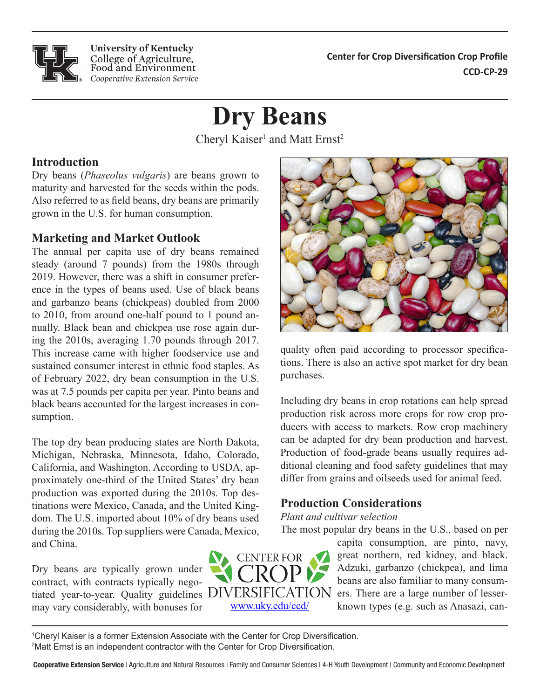**Center for Crop Diversification Crop Profile Center for Crop Diversification Crop Profile CCD-CP-29 CCD-CP-138**

# **Dry Beans**

Cheryl Kaiser<sup>1</sup> and Matt Ernst<sup>2</sup>

# **Introduction Introduction**

Dry beans (*Phaseolus vulgaris*) are beans grown to maturity and harvested for the seeds within the pods. Also referred to as field beans, dry beans are primarily grown in the U.S. for human consumption.

**University of Kentucky** College of Agriculture, Food and Environment Cooperative Extension Service

#### **Marketing and Market Outlook** duce wholesalers sourcing from global suppliers, and

The annual per capita use of dry beans remained steady (around 7 pounds) from the 1980s through 2019. However, there was a shift in consumer preference in the types of beans used. Use of black beans and garbanzo beans (chickpeas) doubled from 2000 to 2010, from around one-half pound to 1 pound annually. Black bean and chickpea use rose again during the  $2010s$ , averaging 1.70 pounds through 2017. This increase came with higher foodservice use and sustained consumer interest in ethnic food staples. As of February 2022, dry bean consumption in the U.S. was at 7.5 pounds per capita per year. Pinto beans and black beans accounted for the largest increases in consumption.

The top dry bean producing states are North Dakota, Michigan, Nebraska, Minnesota, Idaho, Colorado, California, and Washington. According to USDA, approximately one-third of the United States' dry bean production was exported during the 2010s. Top destinations were Mexico, Canada, and the United Kingdom. The U.S. imported about 10% of dry beans used during the 2010s. Top suppliers were Canada, Mexico, and China. and  $\mathsf{c}_{\text{min}}$ .

Dry beans are typically grown under contract, with contracts typically negomay vary considerably, with bonuses for considerations should be conveyed to be conveyed to be conveyed to be conveyed to be conveyed to be conveyed to be conveyed to be conveyed to be conveyed to be conveyed to be conveyed to be conveyed to be conveyed to be co bly beans are typically grown under trated year-to-year. Quality guidelines





quality often paid according to processor specifications. There is also an active spot market for dry bean purchases.

Including dry beans in crop rotations can help spread production risk across more crops for row crop producers with access to markets. Row crop machinery can be adapted for dry bean production and harvest. Production of food-grade beans usually requires additional cleaning and food safety guidelines that may be defined. differ from grains and oilseeds used for animal feed.

#### **Production Considerations**  $\mathbf{h}$  health and we have at  $\mathbf{h}$  turneric at-

## *Plant and cultivar selection*

The most popular dry beans in the U.S., based on per  $\Gamma$  tant and call varieted tone.<br>The FDA regulation in the FDA regulation in the FDA regulation in the FDA regulation in the FDA regulation in the FDA regulation in the FDA regulation in the FDA regulation in the FDA reg The most popular ary beans in the  $0.5$ , based on per

tiated year-to-year. Quality guidelines DIVERSIFICATION ers. There are a large number of lessercapita consumption, are pinto, navy, great northern, red kidney, and black. great notifient, rea Kuney, and black.<br>Adzuki, garbanzo (chickpea), and lima beans are also familiar to many consumknown types (e.g. such as Anasazi, can- $\alpha$  capital consumption, are pinto, navy, beans are also raining to many consumthese specific crops with the specific con-

<sup>1</sup>Cheryl Kaiser is a former Extension Associate with the Center for Crop Diversification. <sup>2</sup>Matt Ernst is an independent contractor with the Center for Crop Diversification.

Cooperative Extension Service | Agriculture and Natural Resources | Family and Consumer Sciences | 4-H Youth Development | Community and Economic Development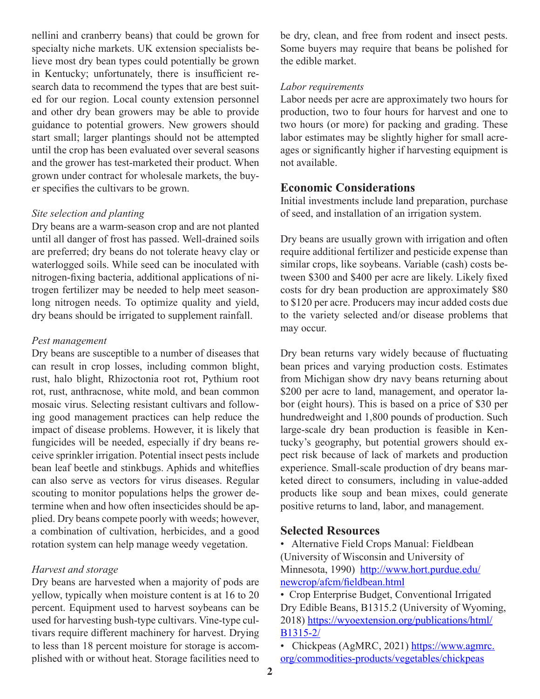nellini and cranberry beans) that could be grown for specialty niche markets. UK extension specialists believe most dry bean types could potentially be grown in Kentucky; unfortunately, there is insufficient research data to recommend the types that are best suited for our region. Local county extension personnel and other dry bean growers may be able to provide guidance to potential growers. New growers should start small; larger plantings should not be attempted until the crop has been evaluated over several seasons and the grower has test-marketed their product. When grown under contract for wholesale markets, the buyer specifies the cultivars to be grown.

#### *Site selection and planting*

Dry beans are a warm-season crop and are not planted until all danger of frost has passed. Well-drained soils are preferred; dry beans do not tolerate heavy clay or waterlogged soils. While seed can be inoculated with nitrogen-fixing bacteria, additional applications of nitrogen fertilizer may be needed to help meet seasonlong nitrogen needs. To optimize quality and yield, dry beans should be irrigated to supplement rainfall.

#### *Pest management*

Dry beans are susceptible to a number of diseases that can result in crop losses, including common blight, rust, halo blight, Rhizoctonia root rot, Pythium root rot, rust, anthracnose, white mold, and bean common mosaic virus. Selecting resistant cultivars and following good management practices can help reduce the impact of disease problems. However, it is likely that fungicides will be needed, especially if dry beans receive sprinkler irrigation. Potential insect pests include bean leaf beetle and stinkbugs. Aphids and whiteflies can also serve as vectors for virus diseases. Regular scouting to monitor populations helps the grower determine when and how often insecticides should be applied. Dry beans compete poorly with weeds; however, a combination of cultivation, herbicides, and a good rotation system can help manage weedy vegetation.

### *Harvest and storage*

Dry beans are harvested when a majority of pods are yellow, typically when moisture content is at 16 to 20 percent. Equipment used to harvest soybeans can be used for harvesting bush-type cultivars. Vine-type cultivars require different machinery for harvest. Drying to less than 18 percent moisture for storage is accomplished with or without heat. Storage facilities need to be dry, clean, and free from rodent and insect pests. Some buyers may require that beans be polished for the edible market.

#### *Labor requirements*

Labor needs per acre are approximately two hours for production, two to four hours for harvest and one to two hours (or more) for packing and grading. These labor estimates may be slightly higher for small acreages or significantly higher if harvesting equipment is not available.

# **Economic Considerations**

Initial investments include land preparation, purchase of seed, and installation of an irrigation system.

Dry beans are usually grown with irrigation and often require additional fertilizer and pesticide expense than similar crops, like soybeans. Variable (cash) costs between \$300 and \$400 per acre are likely. Likely fixed costs for dry bean production are approximately \$80 to \$120 per acre. Producers may incur added costs due to the variety selected and/or disease problems that may occur.

Dry bean returns vary widely because of fluctuating bean prices and varying production costs. Estimates from Michigan show dry navy beans returning about \$200 per acre to land, management, and operator labor (eight hours). This is based on a price of \$30 per hundredweight and 1,800 pounds of production. Such large-scale dry bean production is feasible in Kentucky's geography, but potential growers should expect risk because of lack of markets and production experience. Small-scale production of dry beans marketed direct to consumers, including in value-added products like soup and bean mixes, could generate positive returns to land, labor, and management.

# **Selected Resources**

• Alternative Field Crops Manual: Fieldbean (University of Wisconsin and University of Minnesota, 1990) [http://www.hort.purdue.edu/](http://www.hort.purdue.edu/newcrop/afcm/fieldbean.html) [newcrop/afcm/fieldbean.html](http://www.hort.purdue.edu/newcrop/afcm/fieldbean.html)

• Crop Enterprise Budget, Conventional Irrigated Dry Edible Beans, B1315.2 (University of Wyoming, 2018) [https://wyoextension.org/publications/html/](https://wyoextension.org/publications/html/B1315-2/) [B1315-2/](https://wyoextension.org/publications/html/B1315-2/)

• Chickpeas (AgMRC, 2021) [https://www.agmrc.](https://www.agmrc.org/commodities-products/vegetables/chickpeas) [org/commodities-products/vegetables/chickpeas](https://www.agmrc.org/commodities-products/vegetables/chickpeas)